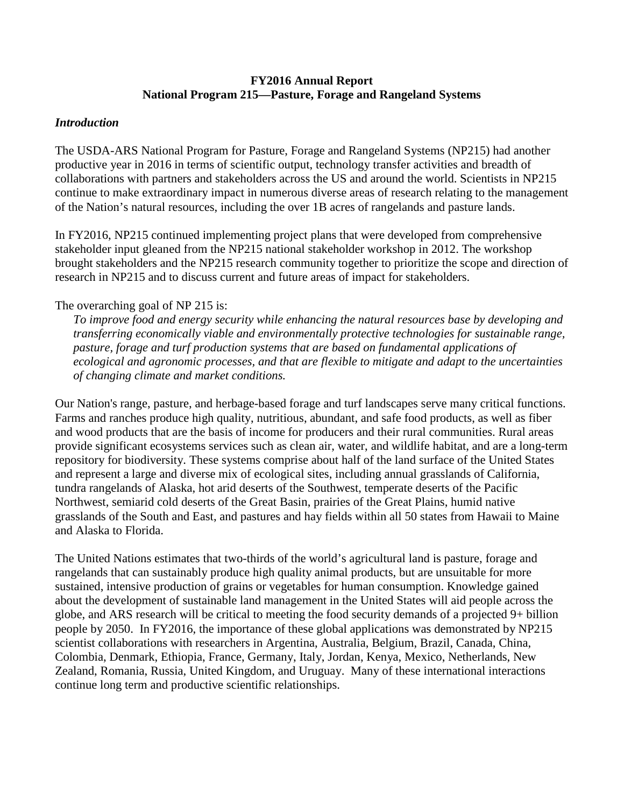## **FY2016 Annual Report National Program 215—Pasture, Forage and Rangeland Systems**

#### *Introduction*

The USDA-ARS National Program for Pasture, Forage and Rangeland Systems (NP215) had another productive year in 2016 in terms of scientific output, technology transfer activities and breadth of collaborations with partners and stakeholders across the US and around the world. Scientists in NP215 continue to make extraordinary impact in numerous diverse areas of research relating to the management of the Nation's natural resources, including the over 1B acres of rangelands and pasture lands.

In FY2016, NP215 continued implementing project plans that were developed from comprehensive stakeholder input gleaned from the NP215 national stakeholder workshop in 2012. The workshop brought stakeholders and the NP215 research community together to prioritize the scope and direction of research in NP215 and to discuss current and future areas of impact for stakeholders.

## The overarching goal of NP 215 is:

*To improve food and energy security while enhancing the natural resources base by developing and transferring economically viable and environmentally protective technologies for sustainable range, pasture, forage and turf production systems that are based on fundamental applications of ecological and agronomic processes, and that are flexible to mitigate and adapt to the uncertainties of changing climate and market conditions.* 

Our Nation's range, pasture, and herbage-based forage and turf landscapes serve many critical functions. Farms and ranches produce high quality, nutritious, abundant, and safe food products, as well as fiber and wood products that are the basis of income for producers and their rural communities. Rural areas provide significant ecosystems services such as clean air, water, and wildlife habitat, and are a long-term repository for biodiversity. These systems comprise about half of the land surface of the United States and represent a large and diverse mix of ecological sites, including annual grasslands of California, tundra rangelands of Alaska, hot arid deserts of the Southwest, temperate deserts of the Pacific Northwest, semiarid cold deserts of the Great Basin, prairies of the Great Plains, humid native grasslands of the South and East, and pastures and hay fields within all 50 states from Hawaii to Maine and Alaska to Florida.

The United Nations estimates that two-thirds of the world's agricultural land is pasture, forage and rangelands that can sustainably produce high quality animal products, but are unsuitable for more sustained, intensive production of grains or vegetables for human consumption. Knowledge gained about the development of sustainable land management in the United States will aid people across the globe, and ARS research will be critical to meeting the food security demands of a projected 9+ billion people by 2050. In FY2016, the importance of these global applications was demonstrated by NP215 scientist collaborations with researchers in Argentina, Australia, Belgium, Brazil, Canada, China, Colombia, Denmark, Ethiopia, France, Germany, Italy, Jordan, Kenya, Mexico, Netherlands, New Zealand, Romania, Russia, United Kingdom, and Uruguay. Many of these international interactions continue long term and productive scientific relationships.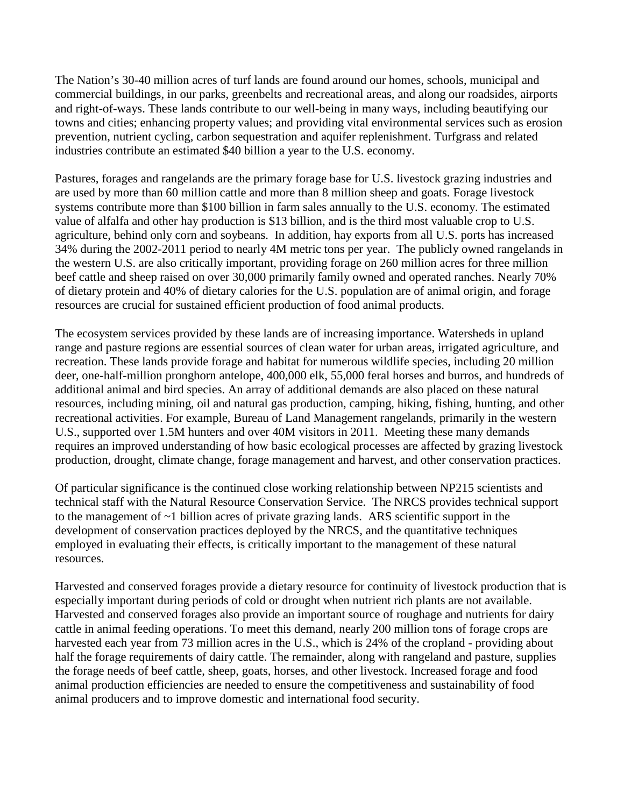The Nation's 30-40 million acres of turf lands are found around our homes, schools, municipal and commercial buildings, in our parks, greenbelts and recreational areas, and along our roadsides, airports and right-of-ways. These lands contribute to our well-being in many ways, including beautifying our towns and cities; enhancing property values; and providing vital environmental services such as erosion prevention, nutrient cycling, carbon sequestration and aquifer replenishment. Turfgrass and related industries contribute an estimated \$40 billion a year to the U.S. economy.

Pastures, forages and rangelands are the primary forage base for U.S. livestock grazing industries and are used by more than 60 million cattle and more than 8 million sheep and goats. Forage livestock systems contribute more than \$100 billion in farm sales annually to the U.S. economy. The estimated value of alfalfa and other hay production is \$13 billion, and is the third most valuable crop to U.S. agriculture, behind only corn and soybeans. In addition, hay exports from all U.S. ports has increased 34% during the 2002-2011 period to nearly 4M metric tons per year. The publicly owned rangelands in the western U.S. are also critically important, providing forage on 260 million acres for three million beef cattle and sheep raised on over 30,000 primarily family owned and operated ranches. Nearly 70% of dietary protein and 40% of dietary calories for the U.S. population are of animal origin, and forage resources are crucial for sustained efficient production of food animal products.

The ecosystem services provided by these lands are of increasing importance. Watersheds in upland range and pasture regions are essential sources of clean water for urban areas, irrigated agriculture, and recreation. These lands provide forage and habitat for numerous wildlife species, including 20 million deer, one-half-million pronghorn antelope, 400,000 elk, 55,000 feral horses and burros, and hundreds of additional animal and bird species. An array of additional demands are also placed on these natural resources, including mining, oil and natural gas production, camping, hiking, fishing, hunting, and other recreational activities. For example, Bureau of Land Management rangelands, primarily in the western U.S., supported over 1.5M hunters and over 40M visitors in 2011. Meeting these many demands requires an improved understanding of how basic ecological processes are affected by grazing livestock production, drought, climate change, forage management and harvest, and other conservation practices.

Of particular significance is the continued close working relationship between NP215 scientists and technical staff with the Natural Resource Conservation Service. The NRCS provides technical support to the management of ~1 billion acres of private grazing lands. ARS scientific support in the development of conservation practices deployed by the NRCS, and the quantitative techniques employed in evaluating their effects, is critically important to the management of these natural resources.

Harvested and conserved forages provide a dietary resource for continuity of livestock production that is especially important during periods of cold or drought when nutrient rich plants are not available. Harvested and conserved forages also provide an important source of roughage and nutrients for dairy cattle in animal feeding operations. To meet this demand, nearly 200 million tons of forage crops are harvested each year from 73 million acres in the U.S., which is 24% of the cropland - providing about half the forage requirements of dairy cattle. The remainder, along with rangeland and pasture, supplies the forage needs of beef cattle, sheep, goats, horses, and other livestock. Increased forage and food animal production efficiencies are needed to ensure the competitiveness and sustainability of food animal producers and to improve domestic and international food security.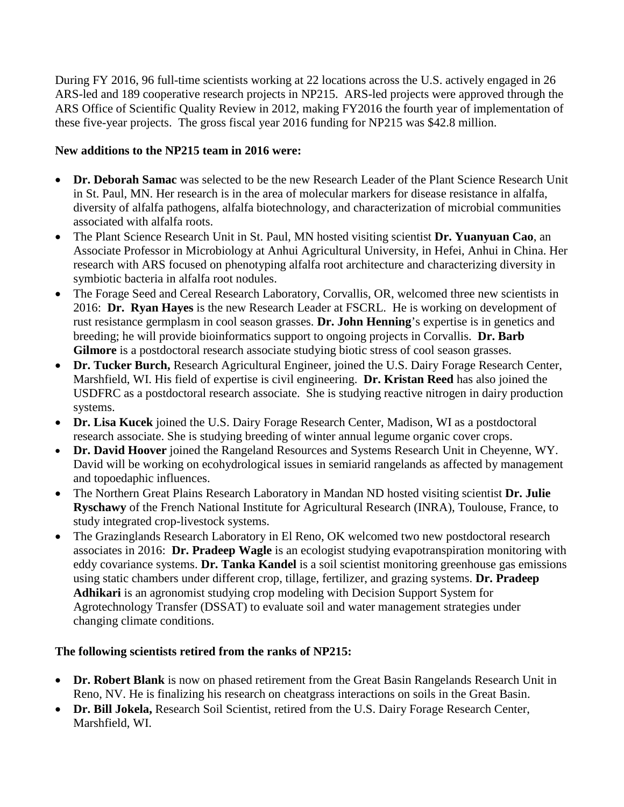During FY 2016, 96 full-time scientists working at 22 locations across the U.S. actively engaged in 26 ARS-led and 189 cooperative research projects in NP215. ARS-led projects were approved through the ARS Office of Scientific Quality Review in 2012, making FY2016 the fourth year of implementation of these five-year projects. The gross fiscal year 2016 funding for NP215 was \$42.8 million.

# **New additions to the NP215 team in 2016 were:**

- **Dr. Deborah Samac** was selected to be the new Research Leader of the Plant Science Research Unit in St. Paul, MN. Her research is in the area of molecular markers for disease resistance in alfalfa, diversity of alfalfa pathogens, alfalfa biotechnology, and characterization of microbial communities associated with alfalfa roots.
- The Plant Science Research Unit in St. Paul, MN hosted visiting scientist **Dr. Yuanyuan Cao**, an Associate Professor in Microbiology at Anhui Agricultural University, in Hefei, Anhui in China. Her research with ARS focused on phenotyping alfalfa root architecture and characterizing diversity in symbiotic bacteria in alfalfa root nodules.
- The Forage Seed and Cereal Research Laboratory, Corvallis, OR, welcomed three new scientists in 2016: **Dr. Ryan Hayes** is the new Research Leader at FSCRL. He is working on development of rust resistance germplasm in cool season grasses. **Dr. John Henning**'s expertise is in genetics and breeding; he will provide bioinformatics support to ongoing projects in Corvallis. **Dr. Barb**  Gilmore is a postdoctoral research associate studying biotic stress of cool season grasses.
- **Dr. Tucker Burch,** Research Agricultural Engineer, joined the U.S. Dairy Forage Research Center, Marshfield, WI. His field of expertise is civil engineering. **Dr. Kristan Reed** has also joined the USDFRC as a postdoctoral research associate. She is studying reactive nitrogen in dairy production systems.
- **Dr. Lisa Kucek** joined the U.S. Dairy Forage Research Center, Madison, WI as a postdoctoral research associate. She is studying breeding of winter annual legume organic cover crops.
- **Dr. David Hoover** joined the Rangeland Resources and Systems Research Unit in Cheyenne, WY. David will be working on ecohydrological issues in semiarid rangelands as affected by management and topoedaphic influences.
- The Northern Great Plains Research Laboratory in Mandan ND hosted visiting scientist **Dr. Julie Ryschawy** of the French National Institute for Agricultural Research (INRA), Toulouse, France, to study integrated crop-livestock systems.
- The Grazinglands Research Laboratory in El Reno, OK welcomed two new postdoctoral research associates in 2016: **Dr. Pradeep Wagle** is an ecologist studying evapotranspiration monitoring with eddy covariance systems. **Dr. Tanka Kandel** is a soil scientist monitoring greenhouse gas emissions using static chambers under different crop, tillage, fertilizer, and grazing systems. **Dr. Pradeep Adhikari** is an agronomist studying crop modeling with Decision Support System for Agrotechnology Transfer (DSSAT) to evaluate soil and water management strategies under changing climate conditions.

## **The following scientists retired from the ranks of NP215:**

- **Dr. Robert Blank** is now on phased retirement from the Great Basin Rangelands Research Unit in Reno, NV. He is finalizing his research on cheatgrass interactions on soils in the Great Basin.
- **Dr. Bill Jokela,** Research Soil Scientist, retired from the U.S. Dairy Forage Research Center, Marshfield, WI.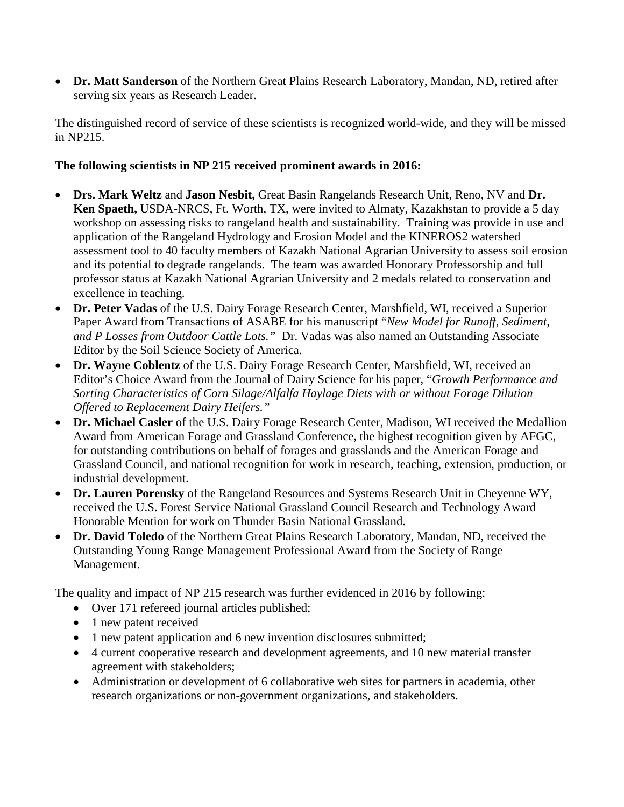• **Dr. Matt Sanderson** of the Northern Great Plains Research Laboratory, Mandan, ND, retired after serving six years as Research Leader.

The distinguished record of service of these scientists is recognized world-wide, and they will be missed in NP215.

# **The following scientists in NP 215 received prominent awards in 2016:**

- **Drs. Mark Weltz** and **Jason Nesbit,** Great Basin Rangelands Research Unit, Reno, NV and **Dr. Ken Spaeth,** USDA-NRCS, Ft. Worth, TX, were invited to Almaty, Kazakhstan to provide a 5 day workshop on assessing risks to rangeland health and sustainability. Training was provide in use and application of the Rangeland Hydrology and Erosion Model and the KINEROS2 watershed assessment tool to 40 faculty members of Kazakh National Agrarian University to assess soil erosion and its potential to degrade rangelands. The team was awarded Honorary Professorship and full professor status at Kazakh National Agrarian University and 2 medals related to conservation and excellence in teaching.
- **Dr. Peter Vadas** of the U.S. Dairy Forage Research Center, Marshfield, WI, received a Superior Paper Award from Transactions of ASABE for his manuscript "*New Model for Runoff, Sediment, and P Losses from Outdoor Cattle Lots."* Dr. Vadas was also named an Outstanding Associate Editor by the Soil Science Society of America.
- **Dr. Wayne Coblentz** of the U.S. Dairy Forage Research Center, Marshfield, WI, received an Editor's Choice Award from the Journal of Dairy Science for his paper, "*Growth Performance and Sorting Characteristics of Corn Silage/Alfalfa Haylage Diets with or without Forage Dilution Offered to Replacement Dairy Heifers."*
- **Dr. Michael Casler** of the U.S. Dairy Forage Research Center, Madison, WI received the Medallion Award from American Forage and Grassland Conference, the highest recognition given by AFGC, for outstanding contributions on behalf of forages and grasslands and the American Forage and Grassland Council, and national recognition for work in research, teaching, extension, production, or industrial development.
- **Dr. Lauren Porensky** of the Rangeland Resources and Systems Research Unit in Cheyenne WY, received the U.S. Forest Service National Grassland Council Research and Technology Award Honorable Mention for work on Thunder Basin National Grassland.
- **Dr. David Toledo** of the Northern Great Plains Research Laboratory, Mandan, ND, received the Outstanding Young Range Management Professional Award from the Society of Range Management.

The quality and impact of NP 215 research was further evidenced in 2016 by following:

- Over 171 refereed journal articles published;
- 1 new patent received
- 1 new patent application and 6 new invention disclosures submitted;
- 4 current cooperative research and development agreements, and 10 new material transfer agreement with stakeholders;
- Administration or development of 6 collaborative web sites for partners in academia, other research organizations or non-government organizations, and stakeholders.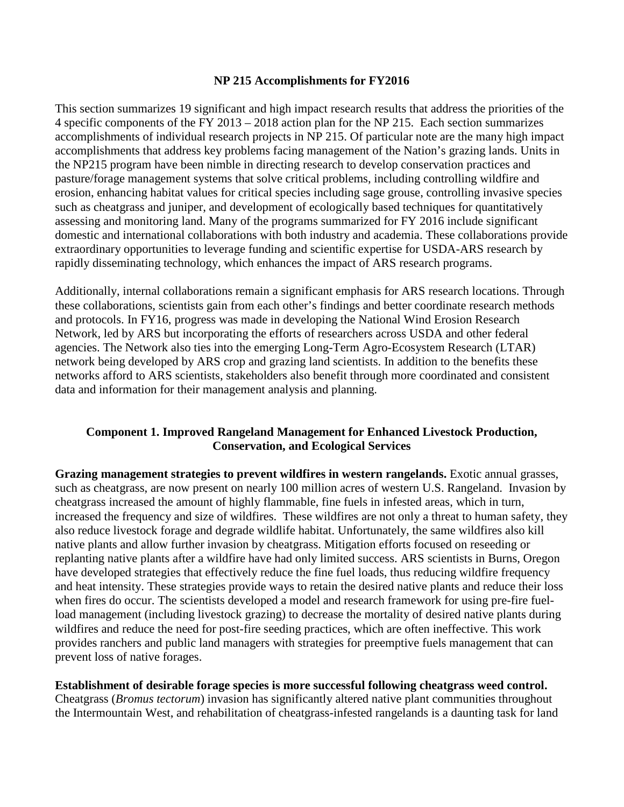#### **NP 215 Accomplishments for FY2016**

This section summarizes 19 significant and high impact research results that address the priorities of the 4 specific components of the FY 2013 – 2018 action plan for the NP 215. Each section summarizes accomplishments of individual research projects in NP 215. Of particular note are the many high impact accomplishments that address key problems facing management of the Nation's grazing lands. Units in the NP215 program have been nimble in directing research to develop conservation practices and pasture/forage management systems that solve critical problems, including controlling wildfire and erosion, enhancing habitat values for critical species including sage grouse, controlling invasive species such as cheatgrass and juniper, and development of ecologically based techniques for quantitatively assessing and monitoring land. Many of the programs summarized for FY 2016 include significant domestic and international collaborations with both industry and academia. These collaborations provide extraordinary opportunities to leverage funding and scientific expertise for USDA-ARS research by rapidly disseminating technology, which enhances the impact of ARS research programs.

Additionally, internal collaborations remain a significant emphasis for ARS research locations. Through these collaborations, scientists gain from each other's findings and better coordinate research methods and protocols. In FY16, progress was made in developing the National Wind Erosion Research Network, led by ARS but incorporating the efforts of researchers across USDA and other federal agencies. The Network also ties into the emerging Long-Term Agro-Ecosystem Research (LTAR) network being developed by ARS crop and grazing land scientists. In addition to the benefits these networks afford to ARS scientists, stakeholders also benefit through more coordinated and consistent data and information for their management analysis and planning.

## **Component 1. Improved Rangeland Management for Enhanced Livestock Production, Conservation, and Ecological Services**

**Grazing management strategies to prevent wildfires in western rangelands.** Exotic annual grasses, such as cheatgrass, are now present on nearly 100 million acres of western U.S. Rangeland. Invasion by cheatgrass increased the amount of highly flammable, fine fuels in infested areas, which in turn, increased the frequency and size of wildfires. These wildfires are not only a threat to human safety, they also reduce livestock forage and degrade wildlife habitat. Unfortunately, the same wildfires also kill native plants and allow further invasion by cheatgrass. Mitigation efforts focused on reseeding or replanting native plants after a wildfire have had only limited success. ARS scientists in Burns, Oregon have developed strategies that effectively reduce the fine fuel loads, thus reducing wildfire frequency and heat intensity. These strategies provide ways to retain the desired native plants and reduce their loss when fires do occur. The scientists developed a model and research framework for using pre-fire fuelload management (including livestock grazing) to decrease the mortality of desired native plants during wildfires and reduce the need for post-fire seeding practices, which are often ineffective. This work provides ranchers and public land managers with strategies for preemptive fuels management that can prevent loss of native forages.

**Establishment of desirable forage species is more successful following cheatgrass weed control.**  Cheatgrass (*Bromus tectorum*) invasion has significantly altered native plant communities throughout the Intermountain West, and rehabilitation of cheatgrass-infested rangelands is a daunting task for land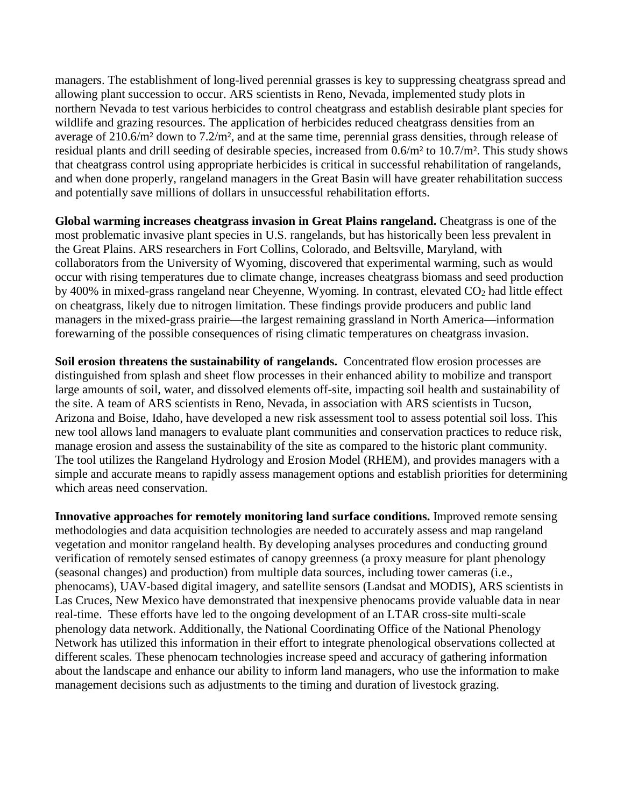managers. The establishment of long-lived perennial grasses is key to suppressing cheatgrass spread and allowing plant succession to occur. ARS scientists in Reno, Nevada, implemented study plots in northern Nevada to test various herbicides to control cheatgrass and establish desirable plant species for wildlife and grazing resources. The application of herbicides reduced cheatgrass densities from an average of 210.6/m² down to 7.2/m², and at the same time, perennial grass densities, through release of residual plants and drill seeding of desirable species, increased from 0.6/m² to 10.7/m². This study shows that cheatgrass control using appropriate herbicides is critical in successful rehabilitation of rangelands, and when done properly, rangeland managers in the Great Basin will have greater rehabilitation success and potentially save millions of dollars in unsuccessful rehabilitation efforts.

**Global warming increases cheatgrass invasion in Great Plains rangeland.** Cheatgrass is one of the most problematic invasive plant species in U.S. rangelands, but has historically been less prevalent in the Great Plains. ARS researchers in Fort Collins, Colorado, and Beltsville, Maryland, with collaborators from the University of Wyoming, discovered that experimental warming, such as would occur with rising temperatures due to climate change, increases cheatgrass biomass and seed production by 400% in mixed-grass rangeland near Cheyenne, Wyoming. In contrast, elevated CO<sub>2</sub> had little effect on cheatgrass, likely due to nitrogen limitation. These findings provide producers and public land managers in the mixed-grass prairie—the largest remaining grassland in North America—information forewarning of the possible consequences of rising climatic temperatures on cheatgrass invasion.

**Soil erosion threatens the sustainability of rangelands.** Concentrated flow erosion processes are distinguished from splash and sheet flow processes in their enhanced ability to mobilize and transport large amounts of soil, water, and dissolved elements off-site, impacting soil health and sustainability of the site. A team of ARS scientists in Reno, Nevada, in association with ARS scientists in Tucson, Arizona and Boise, Idaho, have developed a new risk assessment tool to assess potential soil loss. This new tool allows land managers to evaluate plant communities and conservation practices to reduce risk, manage erosion and assess the sustainability of the site as compared to the historic plant community. The tool utilizes the Rangeland Hydrology and Erosion Model (RHEM), and provides managers with a simple and accurate means to rapidly assess management options and establish priorities for determining which areas need conservation.

**Innovative approaches for remotely monitoring land surface conditions.** Improved remote sensing methodologies and data acquisition technologies are needed to accurately assess and map rangeland vegetation and monitor rangeland health. By developing analyses procedures and conducting ground verification of remotely sensed estimates of canopy greenness (a proxy measure for plant phenology (seasonal changes) and production) from multiple data sources, including tower cameras (i.e., phenocams), UAV-based digital imagery, and satellite sensors (Landsat and MODIS), ARS scientists in Las Cruces, New Mexico have demonstrated that inexpensive phenocams provide valuable data in near real-time. These efforts have led to the ongoing development of an LTAR cross-site multi-scale phenology data network. Additionally, the National Coordinating Office of the National Phenology Network has utilized this information in their effort to integrate phenological observations collected at different scales. These phenocam technologies increase speed and accuracy of gathering information about the landscape and enhance our ability to inform land managers, who use the information to make management decisions such as adjustments to the timing and duration of livestock grazing.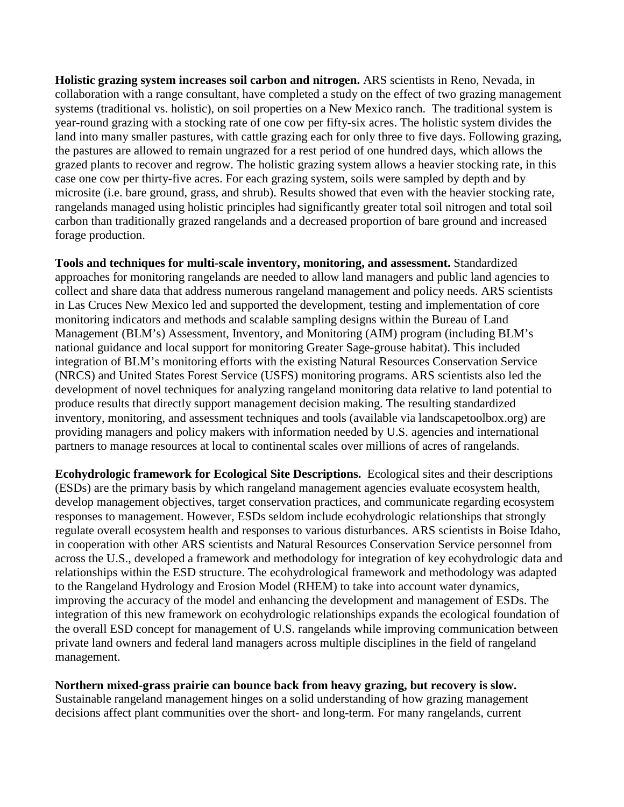**Holistic grazing system increases soil carbon and nitrogen.** ARS scientists in Reno, Nevada, in collaboration with a range consultant, have completed a study on the effect of two grazing management systems (traditional vs. holistic), on soil properties on a New Mexico ranch. The traditional system is year-round grazing with a stocking rate of one cow per fifty-six acres. The holistic system divides the land into many smaller pastures, with cattle grazing each for only three to five days. Following grazing, the pastures are allowed to remain ungrazed for a rest period of one hundred days, which allows the grazed plants to recover and regrow. The holistic grazing system allows a heavier stocking rate, in this case one cow per thirty-five acres. For each grazing system, soils were sampled by depth and by microsite (i.e. bare ground, grass, and shrub). Results showed that even with the heavier stocking rate, rangelands managed using holistic principles had significantly greater total soil nitrogen and total soil carbon than traditionally grazed rangelands and a decreased proportion of bare ground and increased forage production.

**Tools and techniques for multi-scale inventory, monitoring, and assessment.** Standardized approaches for monitoring rangelands are needed to allow land managers and public land agencies to collect and share data that address numerous rangeland management and policy needs. ARS scientists in Las Cruces New Mexico led and supported the development, testing and implementation of core monitoring indicators and methods and scalable sampling designs within the Bureau of Land Management (BLM's) Assessment, Inventory, and Monitoring (AIM) program (including BLM's national guidance and local support for monitoring Greater Sage-grouse habitat). This included integration of BLM's monitoring efforts with the existing Natural Resources Conservation Service (NRCS) and United States Forest Service (USFS) monitoring programs. ARS scientists also led the development of novel techniques for analyzing rangeland monitoring data relative to land potential to produce results that directly support management decision making. The resulting standardized inventory, monitoring, and assessment techniques and tools (available via landscapetoolbox.org) are providing managers and policy makers with information needed by U.S. agencies and international partners to manage resources at local to continental scales over millions of acres of rangelands.

**Ecohydrologic framework for Ecological Site Descriptions.** Ecological sites and their descriptions (ESDs) are the primary basis by which rangeland management agencies evaluate ecosystem health, develop management objectives, target conservation practices, and communicate regarding ecosystem responses to management. However, ESDs seldom include ecohydrologic relationships that strongly regulate overall ecosystem health and responses to various disturbances. ARS scientists in Boise Idaho, in cooperation with other ARS scientists and Natural Resources Conservation Service personnel from across the U.S., developed a framework and methodology for integration of key ecohydrologic data and relationships within the ESD structure. The ecohydrological framework and methodology was adapted to the Rangeland Hydrology and Erosion Model (RHEM) to take into account water dynamics, improving the accuracy of the model and enhancing the development and management of ESDs. The integration of this new framework on ecohydrologic relationships expands the ecological foundation of the overall ESD concept for management of U.S. rangelands while improving communication between private land owners and federal land managers across multiple disciplines in the field of rangeland management.

**Northern mixed-grass prairie can bounce back from heavy grazing, but recovery is slow.** Sustainable rangeland management hinges on a solid understanding of how grazing management decisions affect plant communities over the short- and long-term. For many rangelands, current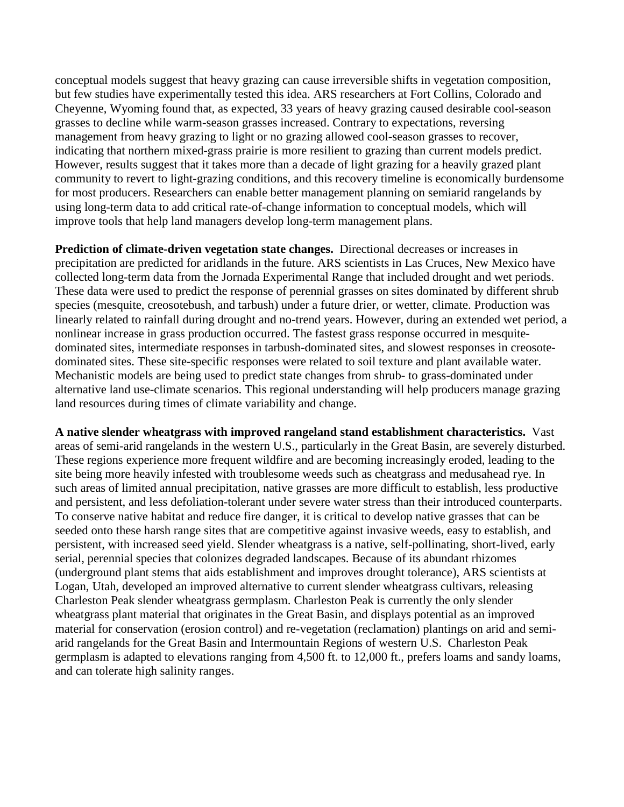conceptual models suggest that heavy grazing can cause irreversible shifts in vegetation composition, but few studies have experimentally tested this idea. ARS researchers at Fort Collins, Colorado and Cheyenne, Wyoming found that, as expected, 33 years of heavy grazing caused desirable cool-season grasses to decline while warm-season grasses increased. Contrary to expectations, reversing management from heavy grazing to light or no grazing allowed cool-season grasses to recover, indicating that northern mixed-grass prairie is more resilient to grazing than current models predict. However, results suggest that it takes more than a decade of light grazing for a heavily grazed plant community to revert to light-grazing conditions, and this recovery timeline is economically burdensome for most producers. Researchers can enable better management planning on semiarid rangelands by using long-term data to add critical rate-of-change information to conceptual models, which will improve tools that help land managers develop long-term management plans.

**Prediction of climate-driven vegetation state changes.** Directional decreases or increases in precipitation are predicted for aridlands in the future. ARS scientists in Las Cruces, New Mexico have collected long-term data from the Jornada Experimental Range that included drought and wet periods. These data were used to predict the response of perennial grasses on sites dominated by different shrub species (mesquite, creosotebush, and tarbush) under a future drier, or wetter, climate. Production was linearly related to rainfall during drought and no-trend years. However, during an extended wet period, a nonlinear increase in grass production occurred. The fastest grass response occurred in mesquitedominated sites, intermediate responses in tarbush-dominated sites, and slowest responses in creosotedominated sites. These site-specific responses were related to soil texture and plant available water. Mechanistic models are being used to predict state changes from shrub- to grass-dominated under alternative land use-climate scenarios. This regional understanding will help producers manage grazing land resources during times of climate variability and change.

**A native slender wheatgrass with improved rangeland stand establishment characteristics.** Vast areas of semi-arid rangelands in the western U.S., particularly in the Great Basin, are severely disturbed. These regions experience more frequent wildfire and are becoming increasingly eroded, leading to the site being more heavily infested with troublesome weeds such as cheatgrass and medusahead rye. In such areas of limited annual precipitation, native grasses are more difficult to establish, less productive and persistent, and less defoliation-tolerant under severe water stress than their introduced counterparts. To conserve native habitat and reduce fire danger, it is critical to develop native grasses that can be seeded onto these harsh range sites that are competitive against invasive weeds, easy to establish, and persistent, with increased seed yield. Slender wheatgrass is a native, self-pollinating, short-lived, early serial, perennial species that colonizes degraded landscapes. Because of its abundant rhizomes (underground plant stems that aids establishment and improves drought tolerance), ARS scientists at Logan, Utah, developed an improved alternative to current slender wheatgrass cultivars, releasing Charleston Peak slender wheatgrass germplasm. Charleston Peak is currently the only slender wheatgrass plant material that originates in the Great Basin, and displays potential as an improved material for conservation (erosion control) and re-vegetation (reclamation) plantings on arid and semiarid rangelands for the Great Basin and Intermountain Regions of western U.S. Charleston Peak germplasm is adapted to elevations ranging from 4,500 ft. to 12,000 ft., prefers loams and sandy loams, and can tolerate high salinity ranges.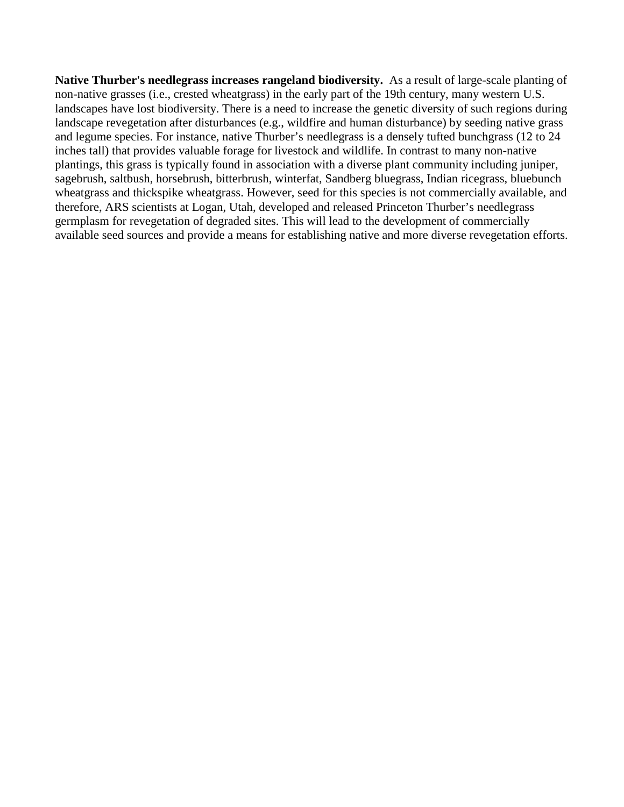**Native Thurber's needlegrass increases rangeland biodiversity.** As a result of large-scale planting of non-native grasses (i.e., crested wheatgrass) in the early part of the 19th century, many western U.S. landscapes have lost biodiversity. There is a need to increase the genetic diversity of such regions during landscape revegetation after disturbances (e.g., wildfire and human disturbance) by seeding native grass and legume species. For instance, native Thurber's needlegrass is a densely tufted bunchgrass (12 to 24 inches tall) that provides valuable forage for livestock and wildlife. In contrast to many non-native plantings, this grass is typically found in association with a diverse plant community including juniper, sagebrush, saltbush, horsebrush, bitterbrush, winterfat, Sandberg bluegrass, Indian ricegrass, bluebunch wheatgrass and thickspike wheatgrass. However, seed for this species is not commercially available, and therefore, ARS scientists at Logan, Utah, developed and released Princeton Thurber's needlegrass germplasm for revegetation of degraded sites. This will lead to the development of commercially available seed sources and provide a means for establishing native and more diverse revegetation efforts.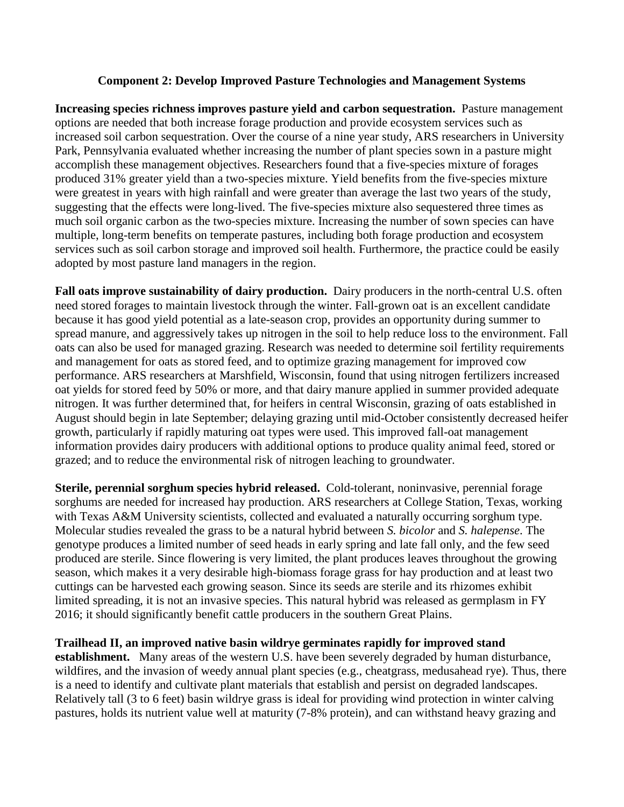## **Component 2: Develop Improved Pasture Technologies and Management Systems**

**Increasing species richness improves pasture yield and carbon sequestration.** Pasture management options are needed that both increase forage production and provide ecosystem services such as increased soil carbon sequestration. Over the course of a nine year study, ARS researchers in University Park, Pennsylvania evaluated whether increasing the number of plant species sown in a pasture might accomplish these management objectives. Researchers found that a five-species mixture of forages produced 31% greater yield than a two-species mixture. Yield benefits from the five-species mixture were greatest in years with high rainfall and were greater than average the last two years of the study, suggesting that the effects were long-lived. The five-species mixture also sequestered three times as much soil organic carbon as the two-species mixture. Increasing the number of sown species can have multiple, long-term benefits on temperate pastures, including both forage production and ecosystem services such as soil carbon storage and improved soil health. Furthermore, the practice could be easily adopted by most pasture land managers in the region.

**Fall oats improve sustainability of dairy production.** Dairy producers in the north-central U.S. often need stored forages to maintain livestock through the winter. Fall-grown oat is an excellent candidate because it has good yield potential as a late-season crop, provides an opportunity during summer to spread manure, and aggressively takes up nitrogen in the soil to help reduce loss to the environment. Fall oats can also be used for managed grazing. Research was needed to determine soil fertility requirements and management for oats as stored feed, and to optimize grazing management for improved cow performance. ARS researchers at Marshfield, Wisconsin, found that using nitrogen fertilizers increased oat yields for stored feed by 50% or more, and that dairy manure applied in summer provided adequate nitrogen. It was further determined that, for heifers in central Wisconsin, grazing of oats established in August should begin in late September; delaying grazing until mid-October consistently decreased heifer growth, particularly if rapidly maturing oat types were used. This improved fall-oat management information provides dairy producers with additional options to produce quality animal feed, stored or grazed; and to reduce the environmental risk of nitrogen leaching to groundwater.

**Sterile, perennial sorghum species hybrid released.** Cold-tolerant, noninvasive, perennial forage sorghums are needed for increased hay production. ARS researchers at College Station, Texas, working with Texas A&M University scientists, collected and evaluated a naturally occurring sorghum type. Molecular studies revealed the grass to be a natural hybrid between *S. bicolor* and *S. halepense*. The genotype produces a limited number of seed heads in early spring and late fall only, and the few seed produced are sterile. Since flowering is very limited, the plant produces leaves throughout the growing season, which makes it a very desirable high-biomass forage grass for hay production and at least two cuttings can be harvested each growing season. Since its seeds are sterile and its rhizomes exhibit limited spreading, it is not an invasive species. This natural hybrid was released as germplasm in FY 2016; it should significantly benefit cattle producers in the southern Great Plains.

#### **Trailhead II, an improved native basin wildrye germinates rapidly for improved stand**

**establishment.** Many areas of the western U.S. have been severely degraded by human disturbance, wildfires, and the invasion of weedy annual plant species (e.g., cheatgrass, medusahead rye). Thus, there is a need to identify and cultivate plant materials that establish and persist on degraded landscapes. Relatively tall (3 to 6 feet) basin wildrye grass is ideal for providing wind protection in winter calving pastures, holds its nutrient value well at maturity (7-8% protein), and can withstand heavy grazing and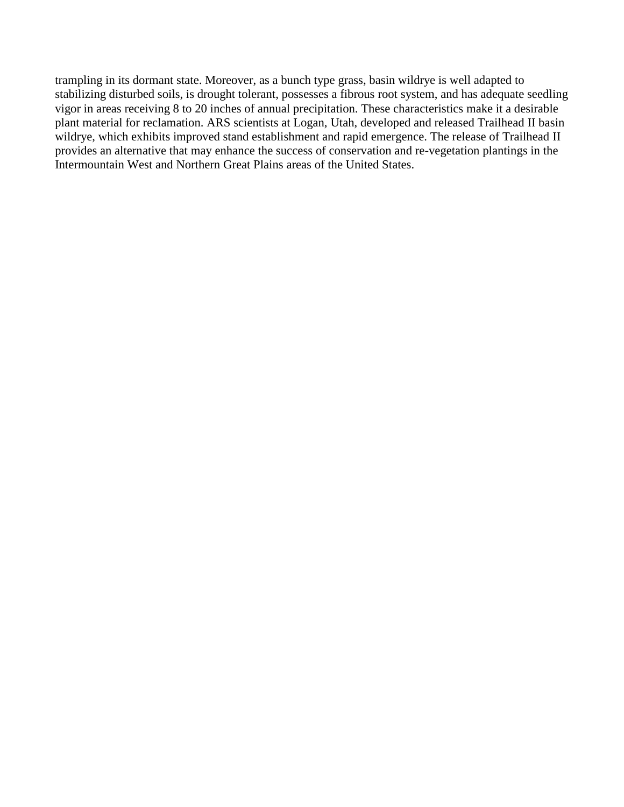trampling in its dormant state. Moreover, as a bunch type grass, basin wildrye is well adapted to stabilizing disturbed soils, is drought tolerant, possesses a fibrous root system, and has adequate seedling vigor in areas receiving 8 to 20 inches of annual precipitation. These characteristics make it a desirable plant material for reclamation. ARS scientists at Logan, Utah, developed and released Trailhead II basin wildrye, which exhibits improved stand establishment and rapid emergence. The release of Trailhead II provides an alternative that may enhance the success of conservation and re-vegetation plantings in the Intermountain West and Northern Great Plains areas of the United States.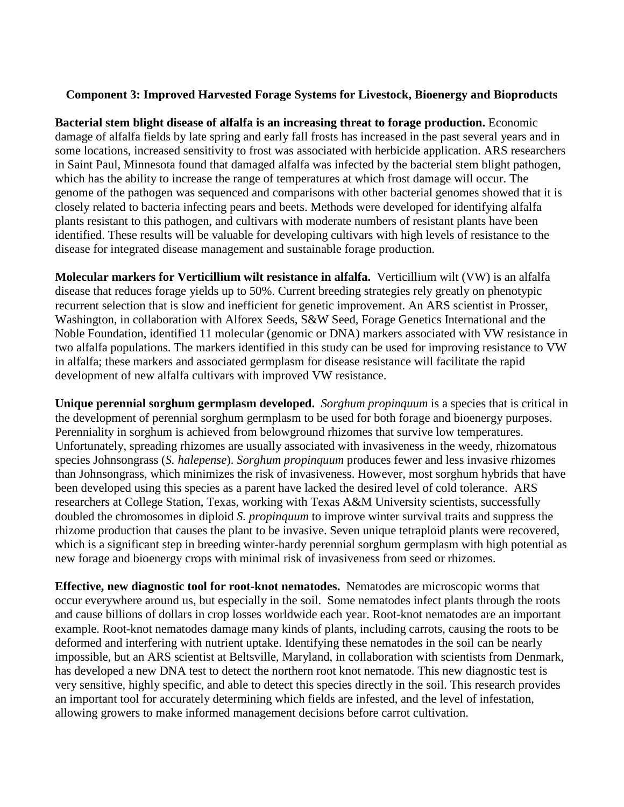## **Component 3: Improved Harvested Forage Systems for Livestock, Bioenergy and Bioproducts**

**Bacterial stem blight disease of alfalfa is an increasing threat to forage production.** Economic damage of alfalfa fields by late spring and early fall frosts has increased in the past several years and in some locations, increased sensitivity to frost was associated with herbicide application. ARS researchers in Saint Paul, Minnesota found that damaged alfalfa was infected by the bacterial stem blight pathogen, which has the ability to increase the range of temperatures at which frost damage will occur. The genome of the pathogen was sequenced and comparisons with other bacterial genomes showed that it is closely related to bacteria infecting pears and beets. Methods were developed for identifying alfalfa plants resistant to this pathogen, and cultivars with moderate numbers of resistant plants have been identified. These results will be valuable for developing cultivars with high levels of resistance to the disease for integrated disease management and sustainable forage production.

**Molecular markers for Verticillium wilt resistance in alfalfa.** Verticillium wilt (VW) is an alfalfa disease that reduces forage yields up to 50%. Current breeding strategies rely greatly on phenotypic recurrent selection that is slow and inefficient for genetic improvement. An ARS scientist in Prosser, Washington, in collaboration with Alforex Seeds, S&W Seed, Forage Genetics International and the Noble Foundation, identified 11 molecular (genomic or DNA) markers associated with VW resistance in two alfalfa populations. The markers identified in this study can be used for improving resistance to VW in alfalfa; these markers and associated germplasm for disease resistance will facilitate the rapid development of new alfalfa cultivars with improved VW resistance.

**Unique perennial sorghum germplasm developed.** *Sorghum propinquum* is a species that is critical in the development of perennial sorghum germplasm to be used for both forage and bioenergy purposes. Perenniality in sorghum is achieved from belowground rhizomes that survive low temperatures. Unfortunately, spreading rhizomes are usually associated with invasiveness in the weedy, rhizomatous species Johnsongrass (*S. halepense*). *Sorghum propinquum* produces fewer and less invasive rhizomes than Johnsongrass, which minimizes the risk of invasiveness. However, most sorghum hybrids that have been developed using this species as a parent have lacked the desired level of cold tolerance. ARS researchers at College Station, Texas, working with Texas A&M University scientists, successfully doubled the chromosomes in diploid *S. propinquum* to improve winter survival traits and suppress the rhizome production that causes the plant to be invasive. Seven unique tetraploid plants were recovered, which is a significant step in breeding winter-hardy perennial sorghum germplasm with high potential as new forage and bioenergy crops with minimal risk of invasiveness from seed or rhizomes.

**Effective, new diagnostic tool for root-knot nematodes.** Nematodes are microscopic worms that occur everywhere around us, but especially in the soil. Some nematodes infect plants through the roots and cause billions of dollars in crop losses worldwide each year. Root-knot nematodes are an important example. Root-knot nematodes damage many kinds of plants, including carrots, causing the roots to be deformed and interfering with nutrient uptake. Identifying these nematodes in the soil can be nearly impossible, but an ARS scientist at Beltsville, Maryland, in collaboration with scientists from Denmark, has developed a new DNA test to detect the northern root knot nematode. This new diagnostic test is very sensitive, highly specific, and able to detect this species directly in the soil. This research provides an important tool for accurately determining which fields are infested, and the level of infestation, allowing growers to make informed management decisions before carrot cultivation.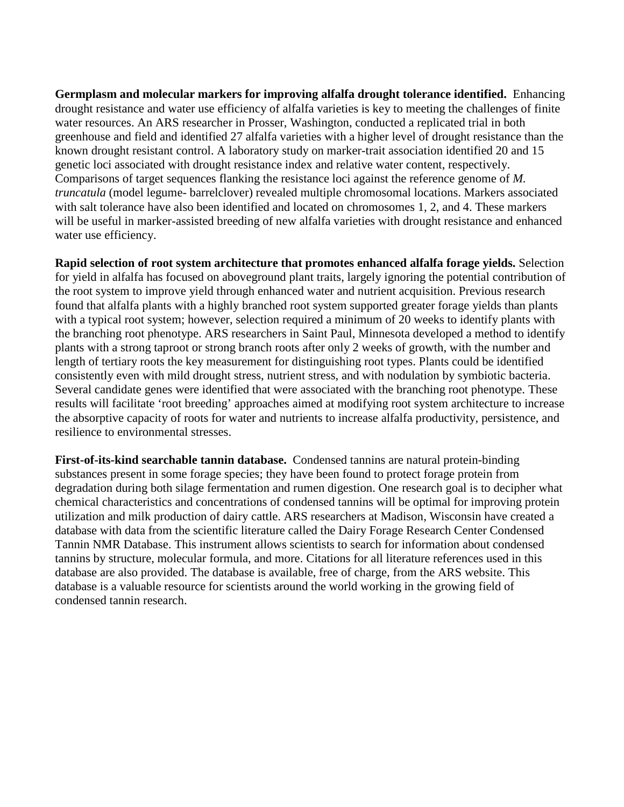**Germplasm and molecular markers for improving alfalfa drought tolerance identified.** Enhancing drought resistance and water use efficiency of alfalfa varieties is key to meeting the challenges of finite water resources. An ARS researcher in Prosser, Washington, conducted a replicated trial in both greenhouse and field and identified 27 alfalfa varieties with a higher level of drought resistance than the known drought resistant control. A laboratory study on marker-trait association identified 20 and 15 genetic loci associated with drought resistance index and relative water content, respectively. Comparisons of target sequences flanking the resistance loci against the reference genome of *M. truncatula* (model legume- barrelclover) revealed multiple chromosomal locations. Markers associated with salt tolerance have also been identified and located on chromosomes 1, 2, and 4. These markers will be useful in marker-assisted breeding of new alfalfa varieties with drought resistance and enhanced water use efficiency.

**Rapid selection of root system architecture that promotes enhanced alfalfa forage yields.** Selection for yield in alfalfa has focused on aboveground plant traits, largely ignoring the potential contribution of the root system to improve yield through enhanced water and nutrient acquisition. Previous research found that alfalfa plants with a highly branched root system supported greater forage yields than plants with a typical root system; however, selection required a minimum of 20 weeks to identify plants with the branching root phenotype. ARS researchers in Saint Paul, Minnesota developed a method to identify plants with a strong taproot or strong branch roots after only 2 weeks of growth, with the number and length of tertiary roots the key measurement for distinguishing root types. Plants could be identified consistently even with mild drought stress, nutrient stress, and with nodulation by symbiotic bacteria. Several candidate genes were identified that were associated with the branching root phenotype. These results will facilitate 'root breeding' approaches aimed at modifying root system architecture to increase the absorptive capacity of roots for water and nutrients to increase alfalfa productivity, persistence, and resilience to environmental stresses.

**First-of-its-kind searchable tannin database.** Condensed tannins are natural protein-binding substances present in some forage species; they have been found to protect forage protein from degradation during both silage fermentation and rumen digestion. One research goal is to decipher what chemical characteristics and concentrations of condensed tannins will be optimal for improving protein utilization and milk production of dairy cattle. ARS researchers at Madison, Wisconsin have created a database with data from the scientific literature called the Dairy Forage Research Center Condensed Tannin NMR Database. This instrument allows scientists to search for information about condensed tannins by structure, molecular formula, and more. Citations for all literature references used in this database are also provided. The database is available, free of charge, from the ARS website. This database is a valuable resource for scientists around the world working in the growing field of condensed tannin research.